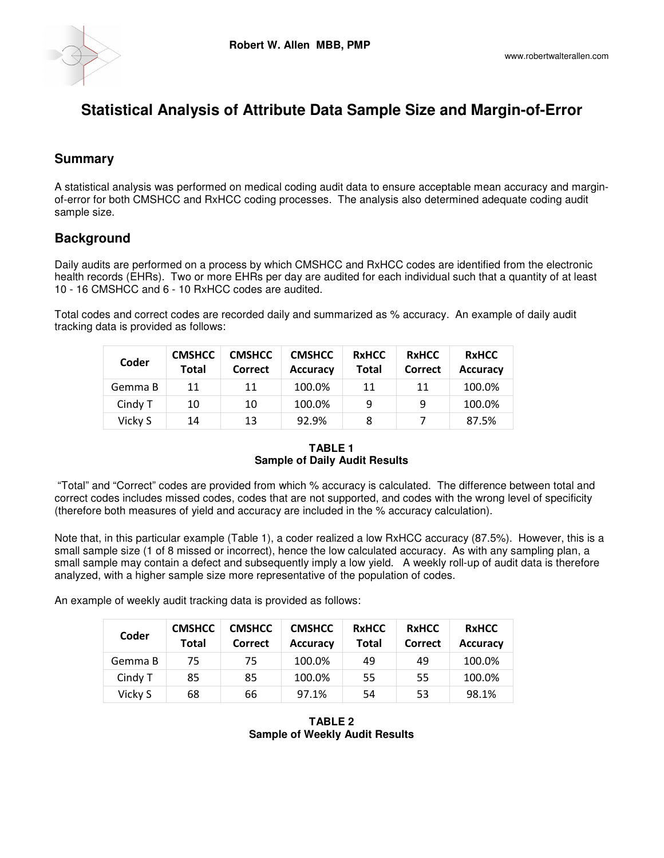

# **Statistical Analysis of Attribute Data Sample Size and Margin-of-Error**

# **Summary**

A statistical analysis was performed on medical coding audit data to ensure acceptable mean accuracy and marginof-error for both CMSHCC and RxHCC coding processes. The analysis also determined adequate coding audit sample size.

## **Background**

Daily audits are performed on a process by which CMSHCC and RxHCC codes are identified from the electronic health records (EHRs). Two or more EHRs per day are audited for each individual such that a quantity of at least 10 - 16 CMSHCC and 6 - 10 RxHCC codes are audited.

Total codes and correct codes are recorded daily and summarized as % accuracy. An example of daily audit tracking data is provided as follows:

| Coder   | <b>CMSHCC</b><br><b>Total</b> | <b>CMSHCC</b><br>Correct | <b>CMSHCC</b><br><b>Accuracy</b> | <b>RxHCC</b><br><b>Total</b> | <b>RxHCC</b><br>Correct | <b>RxHCC</b><br><b>Accuracy</b> |
|---------|-------------------------------|--------------------------|----------------------------------|------------------------------|-------------------------|---------------------------------|
| Gemma B | 11                            | 11                       | 100.0%                           | 11                           | 11                      | 100.0%                          |
| Cindy T | 10                            | 10                       | 100.0%                           | 9                            | 9                       | 100.0%                          |
| Vicky S | 14                            | 13                       | 92.9%                            | 8                            |                         | 87.5%                           |

**TABLE 1 Sample of Daily Audit Results** 

 "Total" and "Correct" codes are provided from which % accuracy is calculated. The difference between total and correct codes includes missed codes, codes that are not supported, and codes with the wrong level of specificity (therefore both measures of yield and accuracy are included in the % accuracy calculation).

Note that, in this particular example (Table 1), a coder realized a low RxHCC accuracy (87.5%). However, this is a small sample size (1 of 8 missed or incorrect), hence the low calculated accuracy. As with any sampling plan, a small sample may contain a defect and subsequently imply a low yield. A weekly roll-up of audit data is therefore analyzed, with a higher sample size more representative of the population of codes.

An example of weekly audit tracking data is provided as follows:

| Coder   | <b>CMSHCC</b><br>Total | <b>CMSHCC</b><br>Correct | <b>CMSHCC</b><br><b>Accuracy</b> | <b>RxHCC</b><br><b>Total</b> | <b>RxHCC</b><br>Correct | <b>RxHCC</b><br><b>Accuracy</b> |
|---------|------------------------|--------------------------|----------------------------------|------------------------------|-------------------------|---------------------------------|
| Gemma B | 75                     | 75                       | 100.0%                           | 49                           | 49                      | 100.0%                          |
| Cindy T | 85                     | 85                       | 100.0%                           | 55                           | 55                      | 100.0%                          |
| Vicky S | 68                     | 66                       | 97.1%                            | 54                           | 53                      | 98.1%                           |

**TABLE 2 Sample of Weekly Audit Results**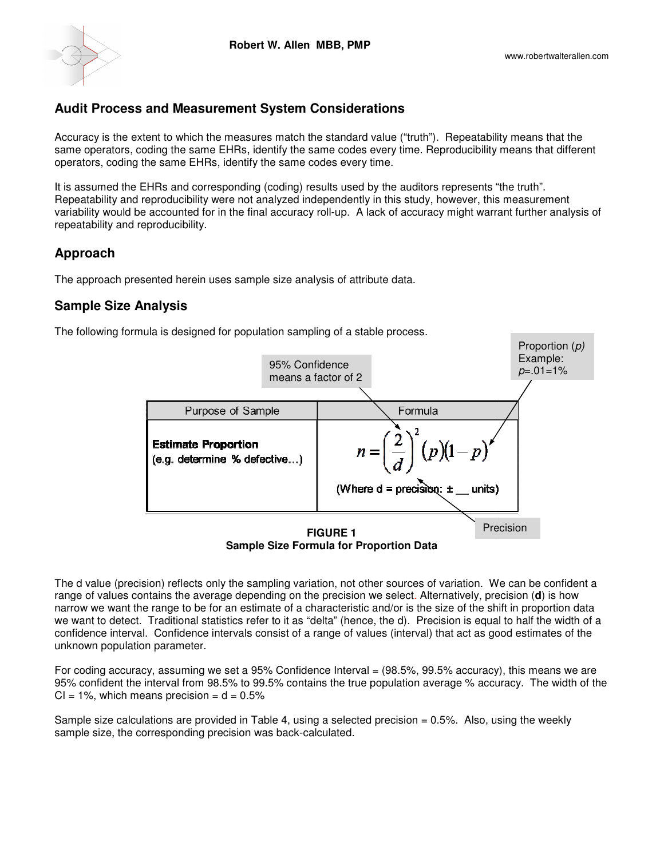

## **Audit Process and Measurement System Considerations Audit Process**

Accuracy is the extent to which the measures match the standard value ("truth"). Repeatability means that the same operators, coding the same EHRs, identify the same codes every time. Reproducibility means that different operators, coding the same EHRs, identify the same codes every time. Accuracy is the extent to which the measures match the standard value ("truth"). Repeatability means that the<br>same operators, coding the same EHRs, identify the same codes every time. Reproducibility means that different<br>o

It is assumed the EHRs and corresponding (coding) results used by the auditors represents "the truth". Repeatability and reproducibility were not analyzed independently in this study, however, this measurement variability would be accounted for in the final accuracy roll-up. A lack of accuracy might warrant further analysis of repeatability and reproducibility.

#### **Approach**

The approach presented herein uses sample size analysis of attribute data The approach data.

#### **Sample Size Analysis**

The following formula is designed for population sampling of a stable process.



**Sample Size Formula for Proportion Data Sample Data**

The d value (precision) reflects only the sampling variation, not other sources of variation. We can be confident a range of values contains the average depending on the precision we select. Alternatively, precision narrow we want the range to be for an estimate of a characteristic and/or is the size of the shift in proportion data we want to detect. Traditional statistics refer to it as "delta" (hence, the d). Precision is equal to half the width of a confidence interval. Confidence intervals consist of a range of values (interval) that act as good estimates of the unknown population parameter. timate of a characteristic and/or is the size of the shift in proportion data<br>efer to it as "delta" (hence, the d). Precision is equal to half the width of a<br>consist of a range of values (interval) that act as good estimat

For coding accuracy, assuming we set a 95% Confidence Interval = (98.5%, 99.5% accuracy) 95% confident the interval from 98.5% to 99.5% contains the true population average % accuracy. The width of the  $CI = 1\%$ , which means precision  $= d = 0.5\%$ 

Sample size calculations are provided in Table 4, using a selected precision = 0.5%. Also, using the weekly sample size, the corresponding precision was back-calculated.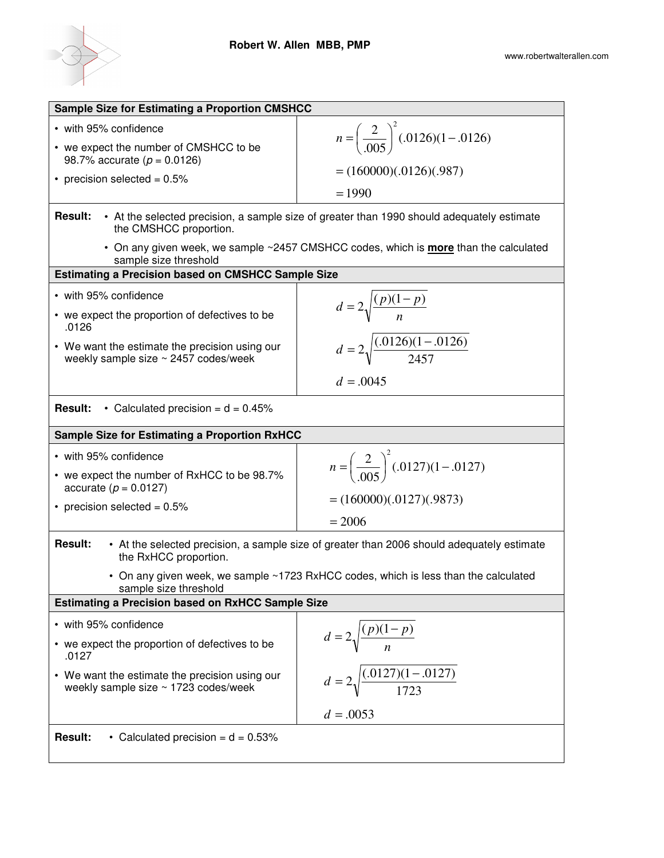

| <b>Sample Size for Estimating a Proportion CMSHCC</b>                                                                                  |                                                                                             |  |  |  |  |
|----------------------------------------------------------------------------------------------------------------------------------------|---------------------------------------------------------------------------------------------|--|--|--|--|
| • with 95% confidence<br>• we expect the number of CMSHCC to be                                                                        | $n = \left(\frac{2}{.005}\right)^2(.0126)(1-.0126)$                                         |  |  |  |  |
| 98.7% accurate ( $p = 0.0126$ )                                                                                                        |                                                                                             |  |  |  |  |
| • precision selected = $0.5\%$                                                                                                         | $= (160000)(.0126)(.987)$                                                                   |  |  |  |  |
|                                                                                                                                        | $= 1990$                                                                                    |  |  |  |  |
| • At the selected precision, a sample size of greater than 1990 should adequately estimate<br><b>Result:</b><br>the CMSHCC proportion. |                                                                                             |  |  |  |  |
| sample size threshold                                                                                                                  | • On any given week, we sample ~2457 CMSHCC codes, which is <b>more</b> than the calculated |  |  |  |  |
| <b>Estimating a Precision based on CMSHCC Sample Size</b>                                                                              |                                                                                             |  |  |  |  |
| • with 95% confidence                                                                                                                  | $d = 2\sqrt{\frac{(p)(1-p)}{n}}$                                                            |  |  |  |  |
| • we expect the proportion of defectives to be<br>.0126                                                                                |                                                                                             |  |  |  |  |
| • We want the estimate the precision using our<br>weekly sample size ~ 2457 codes/week                                                 | $d = 2\sqrt{\frac{(.0126)(1-.0126)}{2457}}$                                                 |  |  |  |  |
|                                                                                                                                        | $d = .0045$                                                                                 |  |  |  |  |
| • Calculated precision = $d = 0.45\%$<br><b>Result:</b>                                                                                |                                                                                             |  |  |  |  |
| <b>Sample Size for Estimating a Proportion RxHCC</b>                                                                                   |                                                                                             |  |  |  |  |
|                                                                                                                                        |                                                                                             |  |  |  |  |
| • with 95% confidence                                                                                                                  |                                                                                             |  |  |  |  |
| • we expect the number of RxHCC to be 98.7%<br>accurate ( $p = 0.0127$ )                                                               | $n = \left(\frac{2}{.005}\right)^2(.0127)(1-.0127)$                                         |  |  |  |  |
| • precision selected = $0.5\%$                                                                                                         | $= (160000)(.0127)(.9873)$                                                                  |  |  |  |  |
|                                                                                                                                        | $= 2006$                                                                                    |  |  |  |  |
| <b>Result:</b><br>the RxHCC proportion.                                                                                                | • At the selected precision, a sample size of greater than 2006 should adequately estimate  |  |  |  |  |
| sample size threshold                                                                                                                  | • On any given week, we sample ~1723 RxHCC codes, which is less than the calculated         |  |  |  |  |
| <b>Estimating a Precision based on RxHCC Sample Size</b>                                                                               |                                                                                             |  |  |  |  |
| • with 95% confidence                                                                                                                  |                                                                                             |  |  |  |  |
| • we expect the proportion of defectives to be<br>.0127                                                                                | $d = 2\sqrt{\frac{(p)(1-p)}{n}}$                                                            |  |  |  |  |
| • We want the estimate the precision using our<br>weekly sample size $\sim$ 1723 codes/week                                            | $d = 2\sqrt{\frac{(.0127)(1-.0127)}{1723}}$                                                 |  |  |  |  |
|                                                                                                                                        | $d = .0053$                                                                                 |  |  |  |  |